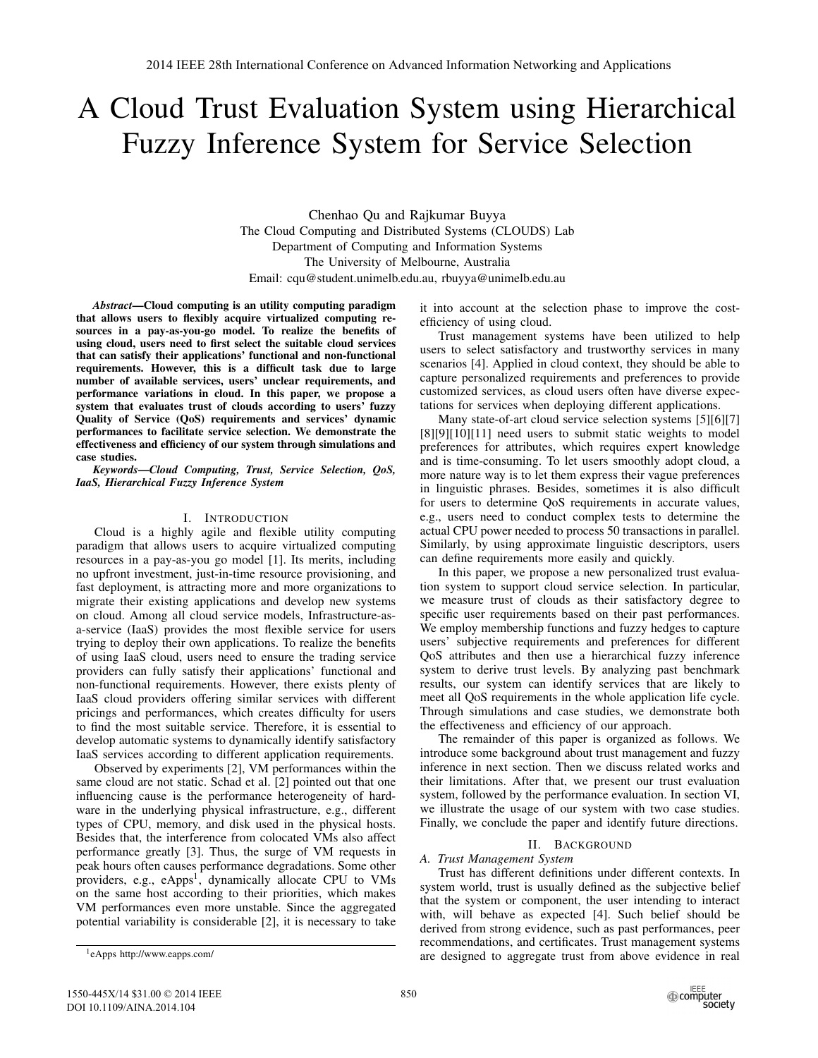# A Cloud Trust Evaluation System using Hierarchical Fuzzy Inference System for Service Selection

Chenhao Qu and Rajkumar Buyya The Cloud Computing and Distributed Systems (CLOUDS) Lab Department of Computing and Information Systems The University of Melbourne, Australia Email: cqu@student.unimelb.edu.au, rbuyya@unimelb.edu.au

*Abstract*—Cloud computing is an utility computing paradigm that allows users to flexibly acquire virtualized computing resources in a pay-as-you-go model. To realize the benefits of using cloud, users need to first select the suitable cloud services that can satisfy their applications' functional and non-functional requirements. However, this is a difficult task due to large number of available services, users' unclear requirements, and performance variations in cloud. In this paper, we propose a system that evaluates trust of clouds according to users' fuzzy Quality of Service (QoS) requirements and services' dynamic performances to facilitate service selection. We demonstrate the effectiveness and efficiency of our system through simulations and case studies.

*Keywords*—*Cloud Computing, Trust, Service Selection, QoS, IaaS, Hierarchical Fuzzy Inference System*

#### I. INTRODUCTION

Cloud is a highly agile and flexible utility computing paradigm that allows users to acquire virtualized computing resources in a pay-as-you go model [1]. Its merits, including no upfront investment, just-in-time resource provisioning, and fast deployment, is attracting more and more organizations to migrate their existing applications and develop new systems on cloud. Among all cloud service models, Infrastructure-asa-service (IaaS) provides the most flexible service for users trying to deploy their own applications. To realize the benefits of using IaaS cloud, users need to ensure the trading service providers can fully satisfy their applications' functional and non-functional requirements. However, there exists plenty of IaaS cloud providers offering similar services with different pricings and performances, which creates difficulty for users to find the most suitable service. Therefore, it is essential to develop automatic systems to dynamically identify satisfactory IaaS services according to different application requirements.

Observed by experiments [2], VM performances within the same cloud are not static. Schad et al. [2] pointed out that one influencing cause is the performance heterogeneity of hardware in the underlying physical infrastructure, e.g., different types of CPU, memory, and disk used in the physical hosts. Besides that, the interference from colocated VMs also affect performance greatly [3]. Thus, the surge of VM requests in peak hours often causes performance degradations. Some other providers, e.g., eApps<sup>1</sup>, dynamically allocate CPU to VMs on the same host according to their priorities, which makes VM performances even more unstable. Since the aggregated potential variability is considerable [2], it is necessary to take it into account at the selection phase to improve the costefficiency of using cloud.

Trust management systems have been utilized to help users to select satisfactory and trustworthy services in many scenarios [4]. Applied in cloud context, they should be able to capture personalized requirements and preferences to provide customized services, as cloud users often have diverse expectations for services when deploying different applications.

Many state-of-art cloud service selection systems [5][6][7] [8][9][10][11] need users to submit static weights to model preferences for attributes, which requires expert knowledge and is time-consuming. To let users smoothly adopt cloud, a more nature way is to let them express their vague preferences in linguistic phrases. Besides, sometimes it is also difficult for users to determine QoS requirements in accurate values, e.g., users need to conduct complex tests to determine the actual CPU power needed to process 50 transactions in parallel. Similarly, by using approximate linguistic descriptors, users can define requirements more easily and quickly.

In this paper, we propose a new personalized trust evaluation system to support cloud service selection. In particular, we measure trust of clouds as their satisfactory degree to specific user requirements based on their past performances. We employ membership functions and fuzzy hedges to capture users' subjective requirements and preferences for different QoS attributes and then use a hierarchical fuzzy inference system to derive trust levels. By analyzing past benchmark results, our system can identify services that are likely to meet all QoS requirements in the whole application life cycle. Through simulations and case studies, we demonstrate both the effectiveness and efficiency of our approach.

The remainder of this paper is organized as follows. We introduce some background about trust management and fuzzy inference in next section. Then we discuss related works and their limitations. After that, we present our trust evaluation system, followed by the performance evaluation. In section VI, we illustrate the usage of our system with two case studies. Finally, we conclude the paper and identify future directions.

#### II. BACKGROUND

# *A. Trust Management System*

Trust has different definitions under different contexts. In system world, trust is usually defined as the subjective belief that the system or component, the user intending to interact with, will behave as expected [4]. Such belief should be derived from strong evidence, such as past performances, peer recommendations, and certificates. Trust management systems are designed to aggregate trust from above evidence in real

<sup>1</sup>eApps http://www.eapps.com/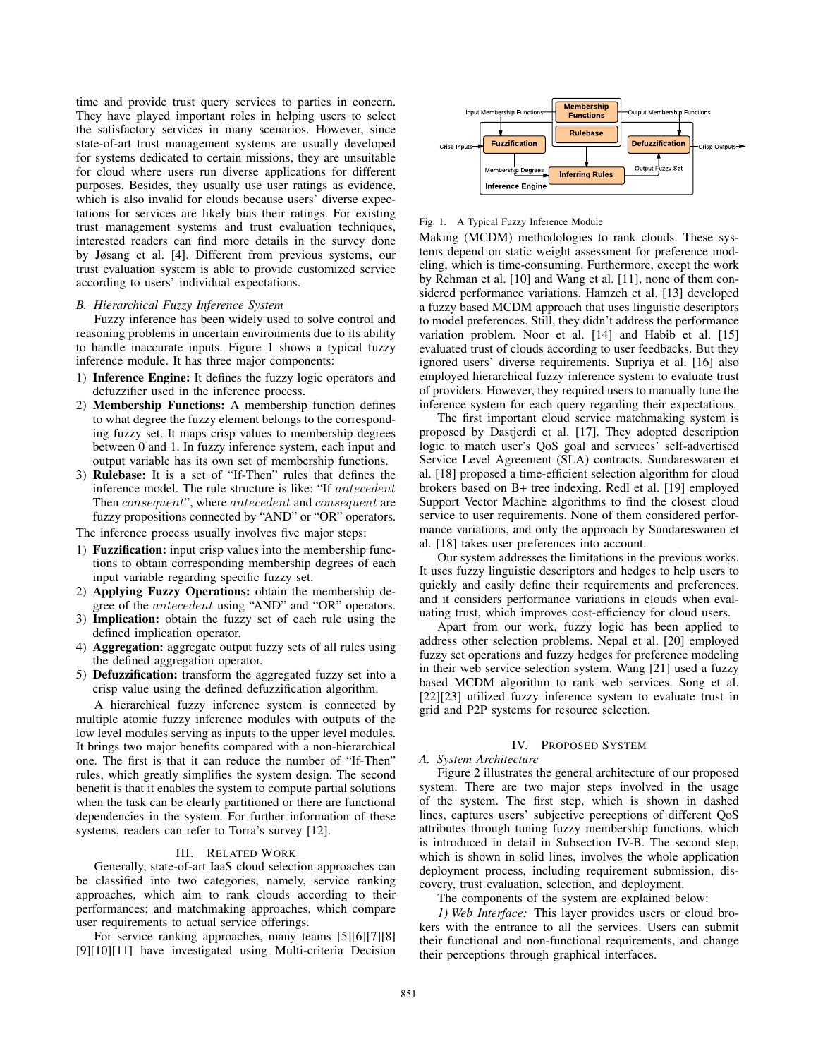time and provide trust query services to parties in concern. They have played important roles in helping users to select the satisfactory services in many scenarios. However, since state-of-art trust management systems are usually developed for systems dedicated to certain missions, they are unsuitable for cloud where users run diverse applications for different purposes. Besides, they usually use user ratings as evidence, which is also invalid for clouds because users' diverse expectations for services are likely bias their ratings. For existing trust management systems and trust evaluation techniques, interested readers can find more details in the survey done by Jøsang et al. [4]. Different from previous systems, our trust evaluation system is able to provide customized service according to users' individual expectations.

#### *B. Hierarchical Fuzzy Inference System*

Fuzzy inference has been widely used to solve control and reasoning problems in uncertain environments due to its ability to handle inaccurate inputs. Figure 1 shows a typical fuzzy inference module. It has three major components:

- 1) Inference Engine: It defines the fuzzy logic operators and defuzzifier used in the inference process.
- 2) Membership Functions: A membership function defines to what degree the fuzzy element belongs to the corresponding fuzzy set. It maps crisp values to membership degrees between 0 and 1. In fuzzy inference system, each input and output variable has its own set of membership functions.
- 3) Rulebase: It is a set of "If-Then" rules that defines the inference model. The rule structure is like: "If antecedent Then consequent", where antecedent and consequent are fuzzy propositions connected by "AND" or "OR" operators.

The inference process usually involves five major steps:

- 1) Fuzzification: input crisp values into the membership functions to obtain corresponding membership degrees of each input variable regarding specific fuzzy set.
- 2) Applying Fuzzy Operations: obtain the membership degree of the antecedent using "AND" and "OR" operators.
- 3) Implication: obtain the fuzzy set of each rule using the defined implication operator.
- 4) Aggregation: aggregate output fuzzy sets of all rules using the defined aggregation operator.
- 5) Defuzzification: transform the aggregated fuzzy set into a crisp value using the defined defuzzification algorithm.

A hierarchical fuzzy inference system is connected by multiple atomic fuzzy inference modules with outputs of the low level modules serving as inputs to the upper level modules. It brings two major benefits compared with a non-hierarchical one. The first is that it can reduce the number of "If-Then" rules, which greatly simplifies the system design. The second benefit is that it enables the system to compute partial solutions when the task can be clearly partitioned or there are functional dependencies in the system. For further information of these systems, readers can refer to Torra's survey [12].

# III. RELATED WORK

Generally, state-of-art IaaS cloud selection approaches can be classified into two categories, namely, service ranking approaches, which aim to rank clouds according to their performances; and matchmaking approaches, which compare user requirements to actual service offerings.

For service ranking approaches, many teams [5][6][7][8] [9][10][11] have investigated using Multi-criteria Decision



#### Fig. 1. A Typical Fuzzy Inference Module

Making (MCDM) methodologies to rank clouds. These systems depend on static weight assessment for preference modeling, which is time-consuming. Furthermore, except the work by Rehman et al. [10] and Wang et al. [11], none of them considered performance variations. Hamzeh et al. [13] developed a fuzzy based MCDM approach that uses linguistic descriptors to model preferences. Still, they didn't address the performance variation problem. Noor et al. [14] and Habib et al. [15] evaluated trust of clouds according to user feedbacks. But they ignored users' diverse requirements. Supriya et al. [16] also employed hierarchical fuzzy inference system to evaluate trust of providers. However, they required users to manually tune the inference system for each query regarding their expectations.

The first important cloud service matchmaking system is proposed by Dastjerdi et al. [17]. They adopted description logic to match user's QoS goal and services' self-advertised Service Level Agreement (SLA) contracts. Sundareswaren et al. [18] proposed a time-efficient selection algorithm for cloud brokers based on B+ tree indexing. Redl et al. [19] employed Support Vector Machine algorithms to find the closest cloud service to user requirements. None of them considered performance variations, and only the approach by Sundareswaren et al. [18] takes user preferences into account.

Our system addresses the limitations in the previous works. It uses fuzzy linguistic descriptors and hedges to help users to quickly and easily define their requirements and preferences, and it considers performance variations in clouds when evaluating trust, which improves cost-efficiency for cloud users.

Apart from our work, fuzzy logic has been applied to address other selection problems. Nepal et al. [20] employed fuzzy set operations and fuzzy hedges for preference modeling in their web service selection system. Wang [21] used a fuzzy based MCDM algorithm to rank web services. Song et al. [22][23] utilized fuzzy inference system to evaluate trust in grid and P2P systems for resource selection.

## IV. PROPOSED SYSTEM

#### *A. System Architecture*

Figure 2 illustrates the general architecture of our proposed system. There are two major steps involved in the usage of the system. The first step, which is shown in dashed lines, captures users' subjective perceptions of different QoS attributes through tuning fuzzy membership functions, which is introduced in detail in Subsection IV-B. The second step, which is shown in solid lines, involves the whole application deployment process, including requirement submission, discovery, trust evaluation, selection, and deployment.

The components of the system are explained below:

*1) Web Interface:* This layer provides users or cloud brokers with the entrance to all the services. Users can submit their functional and non-functional requirements, and change their perceptions through graphical interfaces.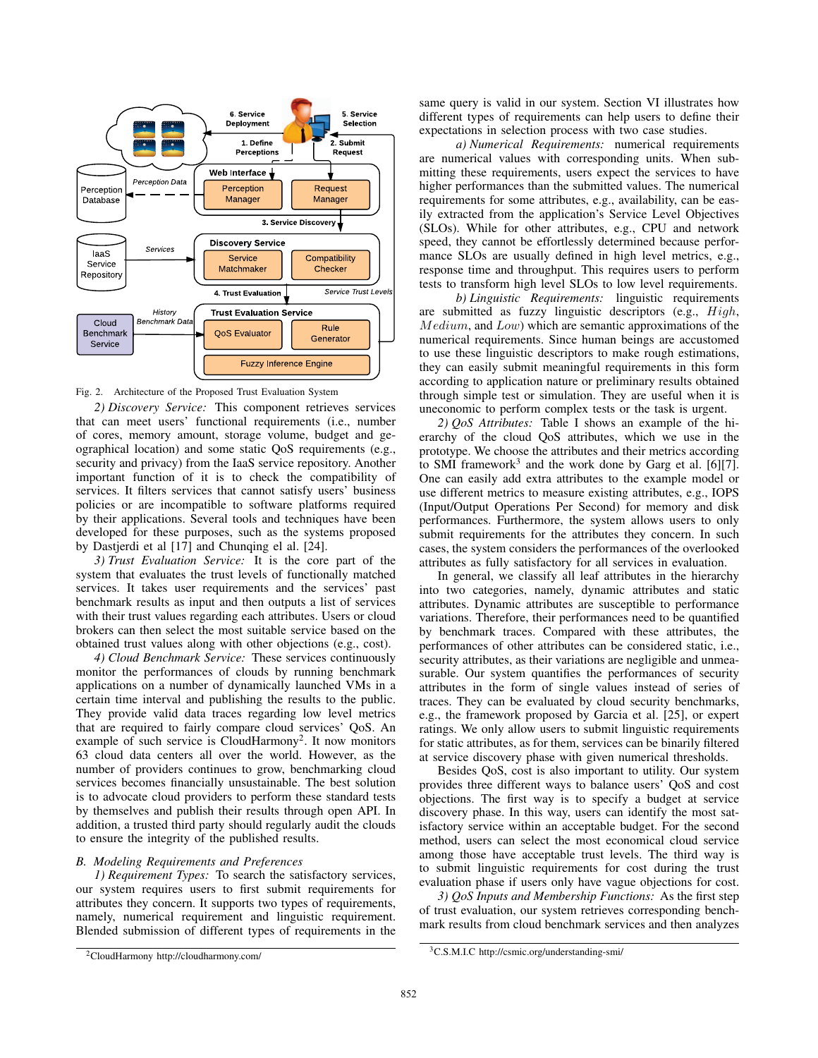

Fig. 2. Architecture of the Proposed Trust Evaluation System

*2) Discovery Service:* This component retrieves services that can meet users' functional requirements (i.e., number of cores, memory amount, storage volume, budget and geographical location) and some static QoS requirements (e.g., security and privacy) from the IaaS service repository. Another important function of it is to check the compatibility of services. It filters services that cannot satisfy users' business policies or are incompatible to software platforms required by their applications. Several tools and techniques have been developed for these purposes, such as the systems proposed by Dastjerdi et al [17] and Chunqing el al. [24].

*3) Trust Evaluation Service:* It is the core part of the system that evaluates the trust levels of functionally matched services. It takes user requirements and the services' past benchmark results as input and then outputs a list of services with their trust values regarding each attributes. Users or cloud brokers can then select the most suitable service based on the obtained trust values along with other objections (e.g., cost).

*4) Cloud Benchmark Service:* These services continuously monitor the performances of clouds by running benchmark applications on a number of dynamically launched VMs in a certain time interval and publishing the results to the public. They provide valid data traces regarding low level metrics that are required to fairly compare cloud services' QoS. An example of such service is CloudHarmony<sup>2</sup>. It now monitors 63 cloud data centers all over the world. However, as the number of providers continues to grow, benchmarking cloud services becomes financially unsustainable. The best solution is to advocate cloud providers to perform these standard tests by themselves and publish their results through open API. In addition, a trusted third party should regularly audit the clouds to ensure the integrity of the published results.

## *B. Modeling Requirements and Preferences*

*1) Requirement Types:* To search the satisfactory services, our system requires users to first submit requirements for attributes they concern. It supports two types of requirements, namely, numerical requirement and linguistic requirement. Blended submission of different types of requirements in the same query is valid in our system. Section VI illustrates how different types of requirements can help users to define their expectations in selection process with two case studies.

*a) Numerical Requirements:* numerical requirements are numerical values with corresponding units. When submitting these requirements, users expect the services to have higher performances than the submitted values. The numerical requirements for some attributes, e.g., availability, can be easily extracted from the application's Service Level Objectives (SLOs). While for other attributes, e.g., CPU and network speed, they cannot be effortlessly determined because performance SLOs are usually defined in high level metrics, e.g., response time and throughput. This requires users to perform tests to transform high level SLOs to low level requirements.

*b) Linguistic Requirements:* linguistic requirements are submitted as fuzzy linguistic descriptors (e.g., High, Medium, and Low) which are semantic approximations of the numerical requirements. Since human beings are accustomed to use these linguistic descriptors to make rough estimations, they can easily submit meaningful requirements in this form according to application nature or preliminary results obtained through simple test or simulation. They are useful when it is uneconomic to perform complex tests or the task is urgent.

*2) QoS Attributes:* Table I shows an example of the hierarchy of the cloud QoS attributes, which we use in the prototype. We choose the attributes and their metrics according to SMI framework<sup>3</sup> and the work done by Garg et al. [6][7]. One can easily add extra attributes to the example model or use different metrics to measure existing attributes, e.g., IOPS (Input/Output Operations Per Second) for memory and disk performances. Furthermore, the system allows users to only submit requirements for the attributes they concern. In such cases, the system considers the performances of the overlooked attributes as fully satisfactory for all services in evaluation.

In general, we classify all leaf attributes in the hierarchy into two categories, namely, dynamic attributes and static attributes. Dynamic attributes are susceptible to performance variations. Therefore, their performances need to be quantified by benchmark traces. Compared with these attributes, the performances of other attributes can be considered static, i.e., security attributes, as their variations are negligible and unmeasurable. Our system quantifies the performances of security attributes in the form of single values instead of series of traces. They can be evaluated by cloud security benchmarks, e.g., the framework proposed by Garcia et al. [25], or expert ratings. We only allow users to submit linguistic requirements for static attributes, as for them, services can be binarily filtered at service discovery phase with given numerical thresholds.

Besides QoS, cost is also important to utility. Our system provides three different ways to balance users' QoS and cost objections. The first way is to specify a budget at service discovery phase. In this way, users can identify the most satisfactory service within an acceptable budget. For the second method, users can select the most economical cloud service among those have acceptable trust levels. The third way is to submit linguistic requirements for cost during the trust evaluation phase if users only have vague objections for cost.

*3) QoS Inputs and Membership Functions:* As the first step of trust evaluation, our system retrieves corresponding benchmark results from cloud benchmark services and then analyzes

<sup>2</sup>CloudHarmony http://cloudharmony.com/

<sup>3</sup>C.S.M.I.C http://csmic.org/understanding-smi/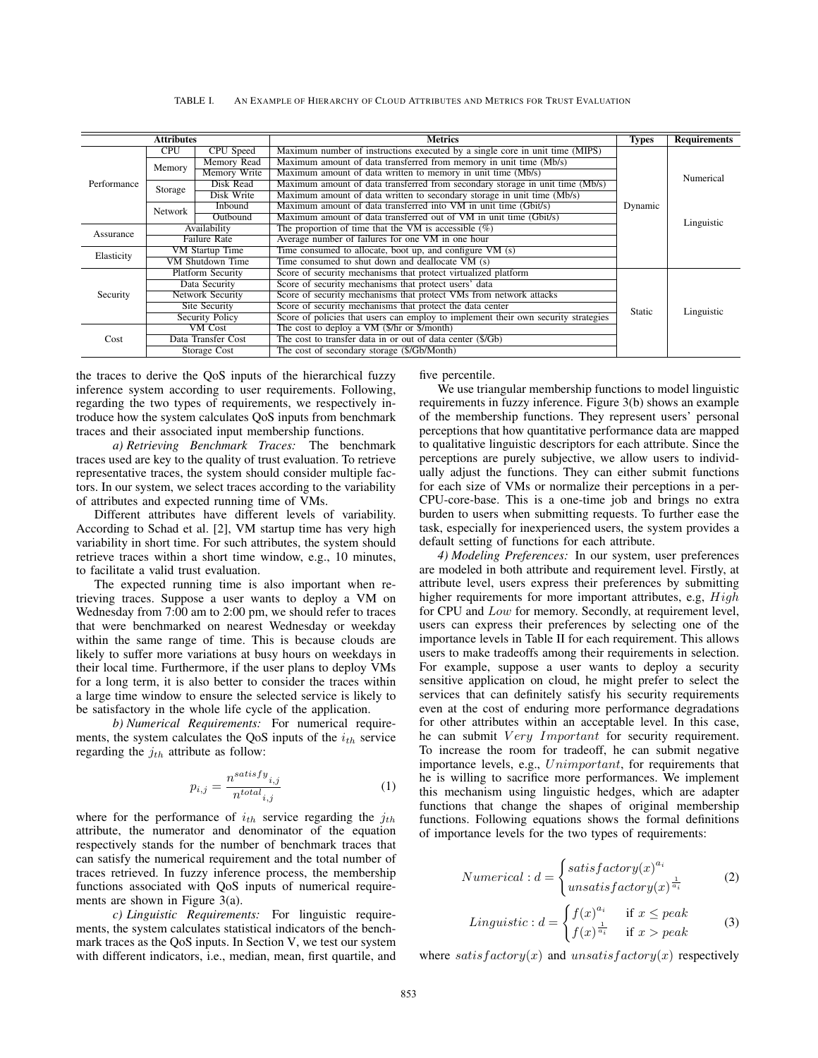| <b>Attributes</b> |                          |                  | <b>Metrics</b>                                                                |         | <b>Requirements</b> |
|-------------------|--------------------------|------------------|-------------------------------------------------------------------------------|---------|---------------------|
|                   | <b>CPU</b>               | CPU Speed        | Maximum number of instructions executed by a single core in unit time (MIPS)  |         | Numerical           |
|                   | Memory                   | Memory Read      | Maximum amount of data transferred from memory in unit time (Mb/s)            |         |                     |
|                   |                          | Memory Write     | Maximum amount of data written to memory in unit time (Mb/s)                  |         |                     |
| 'erformance       | Storage                  | Disk Read        | Maximum amount of data transferred from secondary storage in unit time (Mb/s) |         |                     |
|                   |                          | Disk Write       | Maximum amount of data written to secondary storage in unit time (Mb/s)       |         |                     |
|                   | Network                  | Inbound          | Maximum amount of data transferred into VM in unit time (Gbit/s)              | Dynamic |                     |
|                   |                          | Outbound         | Maximum amount of data transferred out of VM in unit time (Gbit/s)            |         | Linguistic          |
| Assurance         | Availability             |                  | The proportion of time that the VM is accessible $(\%)$                       |         |                     |
|                   | Failure Rate             |                  | Average number of failures for one VM in one hour                             |         |                     |
| Elasticity        | VM Startup Time          |                  | Time consumed to allocate, boot up, and configure VM (s)                      |         |                     |
|                   |                          | VM Shutdown Time | Time consumed to shut down and deallocate VM (s)                              |         |                     |
|                   | <b>Platform Security</b> |                  | Score of security mechanisms that protect virtualized platform                |         |                     |
|                   | Data Security            |                  | Score of security mechanisms that protect users' data                         |         |                     |
| Security          | Network Security         |                  | Score of security mechanisms that protect VMs from network attacks            |         |                     |

Security Policy Score of policies that users can employ to implement their own security strategies<br>
MICost The cost to deploy a VM (\$/hr or \$/month)

etwork Security Score of security mechanisms that protect VMs from network attacks<br>Site Security Score of security mechanisms that protect the data center

The cost to deploy a VM (\$/hr or \$/month)

Site Security Score of security mechanisms that protect the data center<br>Security Policy Score of policies that users can employ to implement the

Data Transfer Cost The cost to transfer data in or out of data center (\$/Gb) Storage Cost The cost of secondary storage (\$/Gb/Month)

TABLE I. AN EXAMPLE OF HIERARCHY OF CLOUD ATTRIBUTES AND METRICS FOR TRUST EVALUATION

the traces to derive the QoS inputs of the hierarchical fuzzy inference system according to user requirements. Following, regarding the two types of requirements, we respectively introduce how the system calculates QoS inputs from benchmark traces and their associated input membership functions.

 $P_f$ 

Cost

*a) Retrieving Benchmark Traces:* The benchmark traces used are key to the quality of trust evaluation. To retrieve representative traces, the system should consider multiple factors. In our system, we select traces according to the variability of attributes and expected running time of VMs.

Different attributes have different levels of variability. According to Schad et al. [2], VM startup time has very high variability in short time. For such attributes, the system should retrieve traces within a short time window, e.g., 10 minutes, to facilitate a valid trust evaluation.

The expected running time is also important when retrieving traces. Suppose a user wants to deploy a VM on Wednesday from 7:00 am to 2:00 pm, we should refer to traces that were benchmarked on nearest Wednesday or weekday within the same range of time. This is because clouds are likely to suffer more variations at busy hours on weekdays in their local time. Furthermore, if the user plans to deploy VMs for a long term, it is also better to consider the traces within a large time window to ensure the selected service is likely to be satisfactory in the whole life cycle of the application.

*b) Numerical Requirements:* For numerical requirements, the system calculates the QoS inputs of the  $i_{th}$  service regarding the  $j_{th}$  attribute as follow:

$$
p_{i,j} = \frac{n^{satisfy}}{n^{total}i,j}
$$
 (1)

where for the performance of  $i_{th}$  service regarding the  $j_{th}$ attribute, the numerator and denominator of the equation respectively stands for the number of benchmark traces that can satisfy the numerical requirement and the total number of traces retrieved. In fuzzy inference process, the membership functions associated with QoS inputs of numerical requirements are shown in Figure 3(a).

*c) Linguistic Requirements:* For linguistic requirements, the system calculates statistical indicators of the benchmark traces as the QoS inputs. In Section V, we test our system with different indicators, i.e., median, mean, first quartile, and five percentile.

We use triangular membership functions to model linguistic requirements in fuzzy inference. Figure 3(b) shows an example of the membership functions. They represent users' personal perceptions that how quantitative performance data are mapped to qualitative linguistic descriptors for each attribute. Since the perceptions are purely subjective, we allow users to individually adjust the functions. They can either submit functions for each size of VMs or normalize their perceptions in a per-CPU-core-base. This is a one-time job and brings no extra burden to users when submitting requests. To further ease the task, especially for inexperienced users, the system provides a default setting of functions for each attribute.

Static Linguistic

*4) Modeling Preferences:* In our system, user preferences are modeled in both attribute and requirement level. Firstly, at attribute level, users express their preferences by submitting higher requirements for more important attributes, e.g, High for CPU and Low for memory. Secondly, at requirement level, users can express their preferences by selecting one of the importance levels in Table II for each requirement. This allows users to make tradeoffs among their requirements in selection. For example, suppose a user wants to deploy a security sensitive application on cloud, he might prefer to select the services that can definitely satisfy his security requirements even at the cost of enduring more performance degradations for other attributes within an acceptable level. In this case, he can submit Very Important for security requirement. To increase the room for tradeoff, he can submit negative importance levels, e.g.,  $Unimportant$ , for requirements that he is willing to sacrifice more performances. We implement this mechanism using linguistic hedges, which are adapter functions that change the shapes of original membership functions. Following equations shows the formal definitions of importance levels for the two types of requirements:

$$
Numerical: d = \begin{cases} satisfactory(x)^{a_i} \\ unsatisfactory(x)^{\frac{1}{a_i}} \end{cases} \tag{2}
$$

*Linguistic*: 
$$
d = \begin{cases} f(x)^{a_i} & \text{if } x \le peak \\ f(x)^{\frac{1}{a_i}} & \text{if } x > peak \end{cases}
$$
 (3)

where satisfactory(x) and unsatisfactory(x) respectively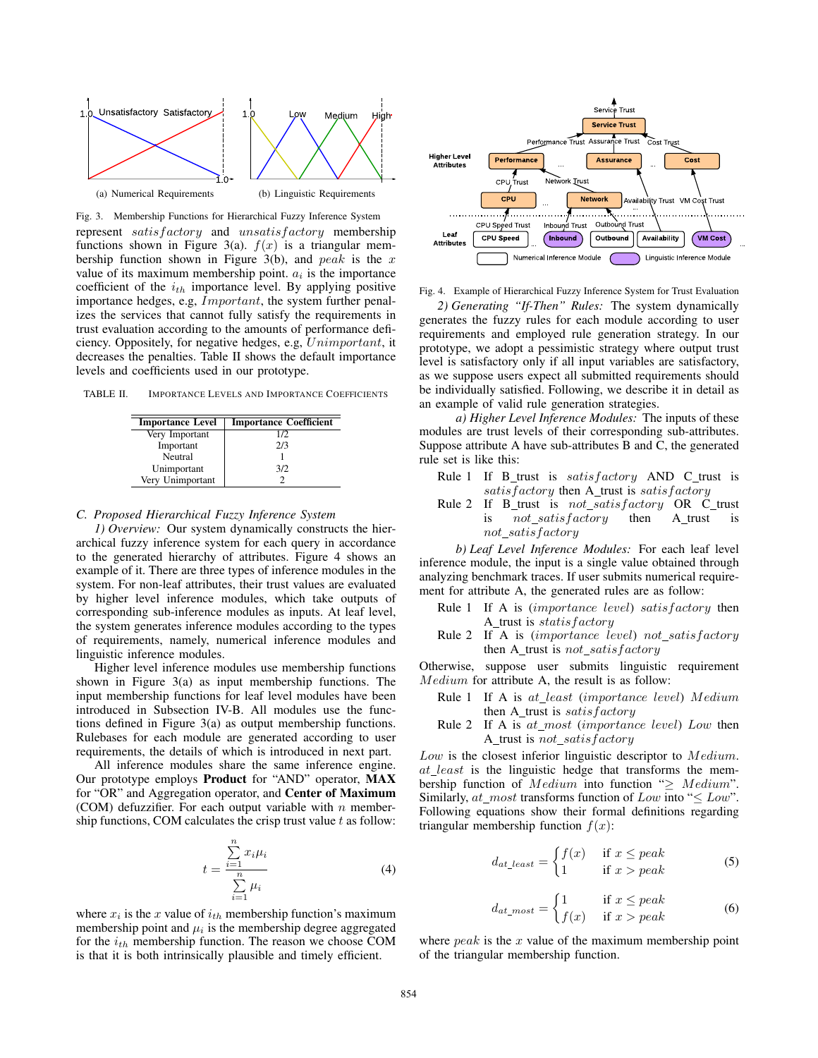

Fig. 3. Membership Functions for Hierarchical Fuzzy Inference System represent satisfactory and unsatisfactory membership functions shown in Figure 3(a).  $f(x)$  is a triangular membership function shown in Figure 3(b), and peak is the x value of its maximum membership point.  $a_i$  is the importance coefficient of the  $i_{th}$  importance level. By applying positive importance hedges, e.g, Important, the system further penalizes the services that cannot fully satisfy the requirements in trust evaluation according to the amounts of performance deficiency. Oppositely, for negative hedges, e.g, Unimportant, it decreases the penalties. Table II shows the default importance levels and coefficients used in our prototype.

TABLE II. IMPORTANCE LEVELS AND IMPORTANCE COEFFICIENTS

| <b>Importance Level</b> | <b>Importance Coefficient</b> |
|-------------------------|-------------------------------|
| Very Important          | 1/2                           |
| Important               | 2/3                           |
| Neutral                 |                               |
| Unimportant             | 3/2                           |
| Very Unimportant        |                               |

### *C. Proposed Hierarchical Fuzzy Inference System*

*1) Overview:* Our system dynamically constructs the hierarchical fuzzy inference system for each query in accordance to the generated hierarchy of attributes. Figure 4 shows an example of it. There are three types of inference modules in the system. For non-leaf attributes, their trust values are evaluated by higher level inference modules, which take outputs of corresponding sub-inference modules as inputs. At leaf level, the system generates inference modules according to the types of requirements, namely, numerical inference modules and linguistic inference modules.

Higher level inference modules use membership functions shown in Figure 3(a) as input membership functions. The input membership functions for leaf level modules have been introduced in Subsection IV-B. All modules use the functions defined in Figure 3(a) as output membership functions. Rulebases for each module are generated according to user requirements, the details of which is introduced in next part.

All inference modules share the same inference engine. Our prototype employs Product for "AND" operator, MAX for "OR" and Aggregation operator, and Center of Maximum (COM) defuzzifier. For each output variable with  $n$  membership functions, COM calculates the crisp trust value  $t$  as follow:

$$
t = \frac{\sum_{i=1}^{n} x_i \mu_i}{\sum_{i=1}^{n} \mu_i}
$$
 (4)

where  $x_i$  is the x value of  $i_{th}$  membership function's maximum membership point and  $\mu_i$  is the membership degree aggregated for the  $i_{th}$  membership function. The reason we choose COM is that it is both intrinsically plausible and timely efficient.



Fig. 4. Example of Hierarchical Fuzzy Inference System for Trust Evaluation

*2) Generating "If-Then" Rules:* The system dynamically generates the fuzzy rules for each module according to user requirements and employed rule generation strategy. In our prototype, we adopt a pessimistic strategy where output trust level is satisfactory only if all input variables are satisfactory, as we suppose users expect all submitted requirements should be individually satisfied. Following, we describe it in detail as an example of valid rule generation strategies.

*a) Higher Level Inference Modules:* The inputs of these modules are trust levels of their corresponding sub-attributes. Suppose attribute A have sub-attributes B and C, the generated rule set is like this:

- Rule 1 If  $B$ \_trust is satisfactory AND C\_trust is  $satisfactory$  then A\_trust is  $satisfactory$
- Rule 2 If B\_trust is  $not\_satisfactory$  OR C\_trust is not satisfactory then A trust is not satisfactory

*b) Leaf Level Inference Modules:* For each leaf level inference module, the input is a single value obtained through analyzing benchmark traces. If user submits numerical requirement for attribute A, the generated rules are as follow:

- Rule 1 If A is  $(importance level)$  satisfactory then A\_trust is statisfactory
- Rule 2 If A is  $(importance level) not\_satisfactory$ then A\_trust is  $not\_satisfactory$

Otherwise, suppose user submits linguistic requirement Medium for attribute A, the result is as follow:

- Rule 1 If A is at least (importance level) Medium then A\_trust is  $satisfactory$
- Rule 2 If A is  $at\_most$  (importance level) Low then A\_trust is not\_satisfactory

Low is the closest inferior linguistic descriptor to Medium.  $at\_least$  is the linguistic hedge that transforms the membership function of Medium into function " $\geq$  Medium". Similarly,  $at\_most$  transforms function of  $Low$  into " $\leq Low$ ". Following equations show their formal definitions regarding triangular membership function  $f(x)$ :

$$
d_{at\_least} = \begin{cases} f(x) & \text{if } x \le peak \\ 1 & \text{if } x > peak \end{cases}
$$
 (5)

$$
d_{at\_most} = \begin{cases} 1 & \text{if } x \le peak \\ f(x) & \text{if } x > peak \end{cases}
$$
 (6)

where  $peak$  is the  $x$  value of the maximum membership point of the triangular membership function.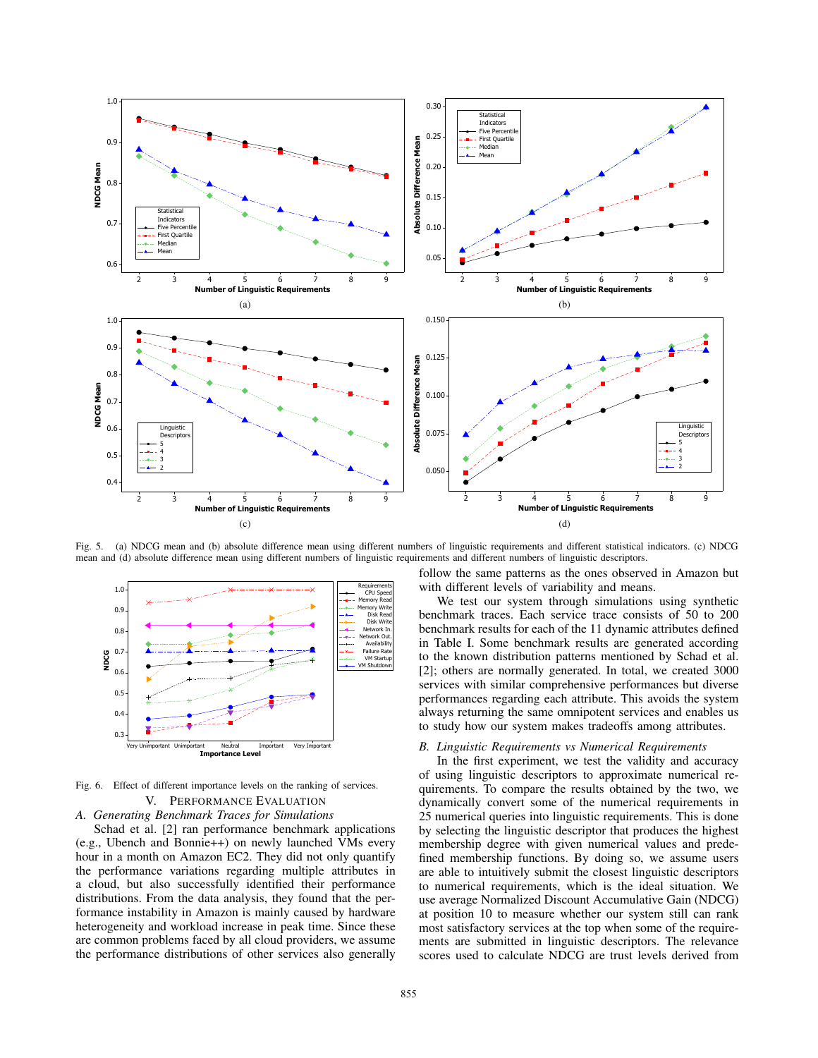

Fig. 5. (a) NDCG mean and (b) absolute difference mean using different numbers of linguistic requirements and different statistical indicators. (c) NDCG mean and (d) absolute difference mean using different numbers of linguistic requirements and different numbers of linguistic descriptors.



Fig. 6. Effect of different importance levels on the ranking of services. V. PERFORMANCE EVALUATION

*A. Generating Benchmark Traces for Simulations*

Schad et al. [2] ran performance benchmark applications (e.g., Ubench and Bonnie++) on newly launched VMs every hour in a month on Amazon EC2. They did not only quantify the performance variations regarding multiple attributes in a cloud, but also successfully identified their performance distributions. From the data analysis, they found that the performance instability in Amazon is mainly caused by hardware heterogeneity and workload increase in peak time. Since these are common problems faced by all cloud providers, we assume the performance distributions of other services also generally follow the same patterns as the ones observed in Amazon but with different levels of variability and means.

We test our system through simulations using synthetic benchmark traces. Each service trace consists of 50 to 200 benchmark results for each of the 11 dynamic attributes defined in Table I. Some benchmark results are generated according to the known distribution patterns mentioned by Schad et al. [2]; others are normally generated. In total, we created 3000 services with similar comprehensive performances but diverse performances regarding each attribute. This avoids the system always returning the same omnipotent services and enables us to study how our system makes tradeoffs among attributes.

# *B. Linguistic Requirements vs Numerical Requirements*

In the first experiment, we test the validity and accuracy of using linguistic descriptors to approximate numerical requirements. To compare the results obtained by the two, we dynamically convert some of the numerical requirements in 25 numerical queries into linguistic requirements. This is done by selecting the linguistic descriptor that produces the highest membership degree with given numerical values and predefined membership functions. By doing so, we assume users are able to intuitively submit the closest linguistic descriptors to numerical requirements, which is the ideal situation. We use average Normalized Discount Accumulative Gain (NDCG) at position 10 to measure whether our system still can rank most satisfactory services at the top when some of the requirements are submitted in linguistic descriptors. The relevance scores used to calculate NDCG are trust levels derived from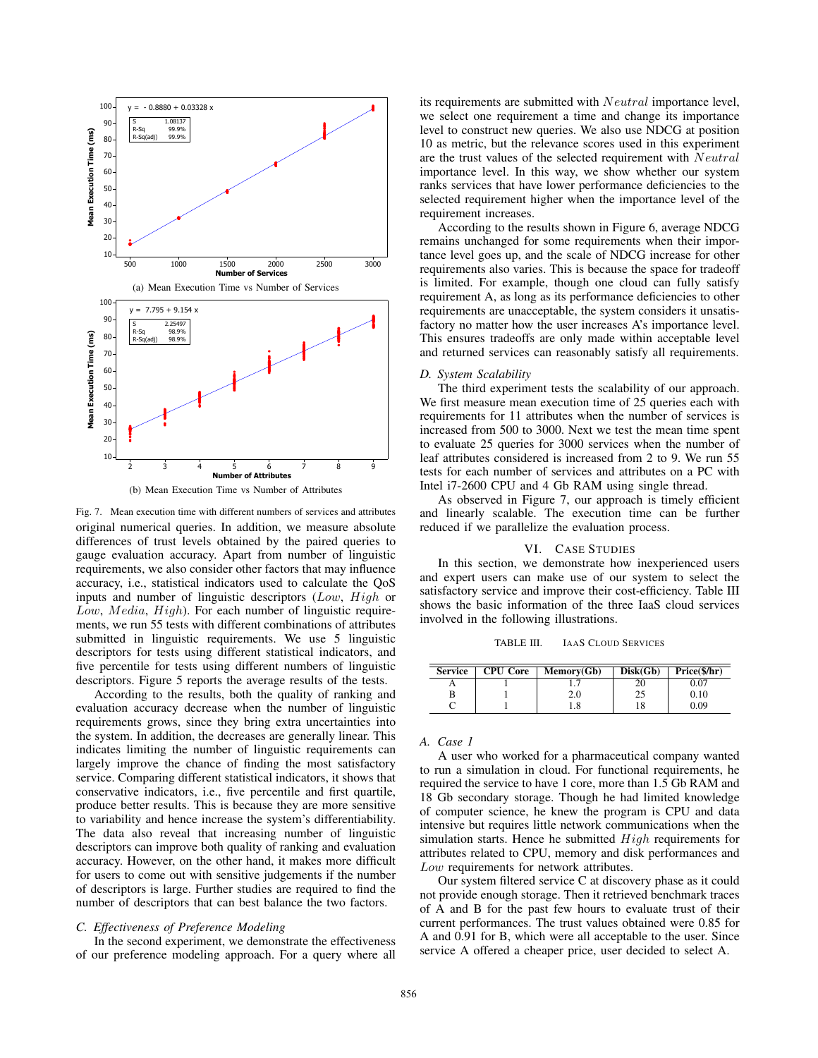



Fig. 7. Mean execution time with different numbers of services and attributes original numerical queries. In addition, we measure absolute differences of trust levels obtained by the paired queries to gauge evaluation accuracy. Apart from number of linguistic requirements, we also consider other factors that may influence accuracy, i.e., statistical indicators used to calculate the QoS inputs and number of linguistic descriptors (Low, High or Low, Media, High). For each number of linguistic requirements, we run 55 tests with different combinations of attributes submitted in linguistic requirements. We use 5 linguistic descriptors for tests using different statistical indicators, and five percentile for tests using different numbers of linguistic descriptors. Figure 5 reports the average results of the tests.

According to the results, both the quality of ranking and evaluation accuracy decrease when the number of linguistic requirements grows, since they bring extra uncertainties into the system. In addition, the decreases are generally linear. This indicates limiting the number of linguistic requirements can largely improve the chance of finding the most satisfactory service. Comparing different statistical indicators, it shows that conservative indicators, i.e., five percentile and first quartile, produce better results. This is because they are more sensitive to variability and hence increase the system's differentiability. The data also reveal that increasing number of linguistic descriptors can improve both quality of ranking and evaluation accuracy. However, on the other hand, it makes more difficult for users to come out with sensitive judgements if the number of descriptors is large. Further studies are required to find the number of descriptors that can best balance the two factors.

#### *C. Effectiveness of Preference Modeling*

In the second experiment, we demonstrate the effectiveness of our preference modeling approach. For a query where all its requirements are submitted with Neutral importance level, we select one requirement a time and change its importance level to construct new queries. We also use NDCG at position 10 as metric, but the relevance scores used in this experiment are the trust values of the selected requirement with Neutral importance level. In this way, we show whether our system ranks services that have lower performance deficiencies to the selected requirement higher when the importance level of the requirement increases.

According to the results shown in Figure 6, average NDCG remains unchanged for some requirements when their importance level goes up, and the scale of NDCG increase for other requirements also varies. This is because the space for tradeoff is limited. For example, though one cloud can fully satisfy requirement A, as long as its performance deficiencies to other requirements are unacceptable, the system considers it unsatisfactory no matter how the user increases A's importance level. This ensures tradeoffs are only made within acceptable level and returned services can reasonably satisfy all requirements.

# *D. System Scalability*

The third experiment tests the scalability of our approach. We first measure mean execution time of 25 queries each with requirements for 11 attributes when the number of services is increased from 500 to 3000. Next we test the mean time spent to evaluate 25 queries for 3000 services when the number of leaf attributes considered is increased from 2 to 9. We run 55 tests for each number of services and attributes on a PC with Intel i7-2600 CPU and 4 Gb RAM using single thread.

As observed in Figure 7, our approach is timely efficient and linearly scalable. The execution time can be further reduced if we parallelize the evaluation process.

#### VI. CASE STUDIES

In this section, we demonstrate how inexperienced users and expert users can make use of our system to select the satisfactory service and improve their cost-efficiency. Table III shows the basic information of the three IaaS cloud services involved in the following illustrations.

TABLE III. IAAS CLOUD SERVICES

| <b>Service</b> | <b>CPU</b> Core | Memory(Gb) | Disk(Gb) | Price(\$/hr) |
|----------------|-----------------|------------|----------|--------------|
|                |                 |            | 20       | 0.07         |
|                |                 | 2.0        | 25       | 0.10         |
|                |                 | 1.8        | 18       | 0.09         |

# *A. Case 1*

A user who worked for a pharmaceutical company wanted to run a simulation in cloud. For functional requirements, he required the service to have 1 core, more than 1.5 Gb RAM and 18 Gb secondary storage. Though he had limited knowledge of computer science, he knew the program is CPU and data intensive but requires little network communications when the simulation starts. Hence he submitted  $High$  requirements for attributes related to CPU, memory and disk performances and Low requirements for network attributes.

Our system filtered service C at discovery phase as it could not provide enough storage. Then it retrieved benchmark traces of A and B for the past few hours to evaluate trust of their current performances. The trust values obtained were 0.85 for A and 0.91 for B, which were all acceptable to the user. Since service A offered a cheaper price, user decided to select A.